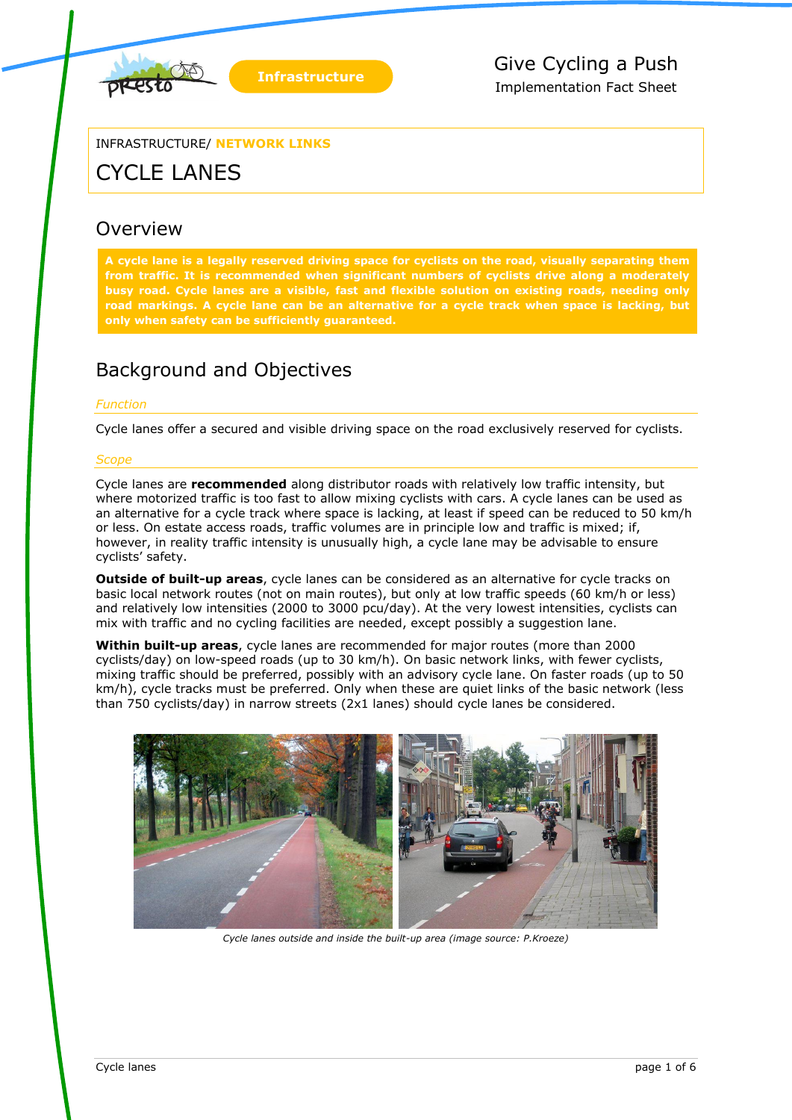

INFRASTRUCTURE/ **NETWORK LINKS**

# CYCLE LANES

### **Overview**

**A cycle lane is a legally reserved driving space for cyclists on the road, visually separating them from traffic. It is recommended when significant numbers of cyclists drive along a moderately busy road. Cycle lanes are a visible, fast and flexible solution on existing roads, needing only road markings. A cycle lane can be an alternative for a cycle track when space is lacking, but only when safety can be sufficiently guaranteed.**

# Background and Objectives

### *Function*

Cycle lanes offer a secured and visible driving space on the road exclusively reserved for cyclists.

### *Scope*

Cycle lanes are **recommended** along distributor roads with relatively low traffic intensity, but where motorized traffic is too fast to allow mixing cyclists with cars. A cycle lanes can be used as an alternative for a cycle track where space is lacking, at least if speed can be reduced to 50 km/h or less. On estate access roads, traffic volumes are in principle low and traffic is mixed; if, however, in reality traffic intensity is unusually high, a cycle lane may be advisable to ensure cyclists' safety.

**Outside of built-up areas**, cycle lanes can be considered as an alternative for cycle tracks on basic local network routes (not on main routes), but only at low traffic speeds (60 km/h or less) and relatively low intensities (2000 to 3000 pcu/day). At the very lowest intensities, cyclists can mix with traffic and no cycling facilities are needed, except possibly a suggestion lane.

**Within built-up areas**, cycle lanes are recommended for major routes (more than 2000 cyclists/day) on low-speed roads (up to 30 km/h). On basic network links, with fewer cyclists, mixing traffic should be preferred, possibly with an advisory cycle lane. On faster roads (up to 50 km/h), cycle tracks must be preferred. Only when these are quiet links of the basic network (less than 750 cyclists/day) in narrow streets (2x1 lanes) should cycle lanes be considered.



*Cycle lanes outside and inside the built-up area (image source: P.Kroeze)*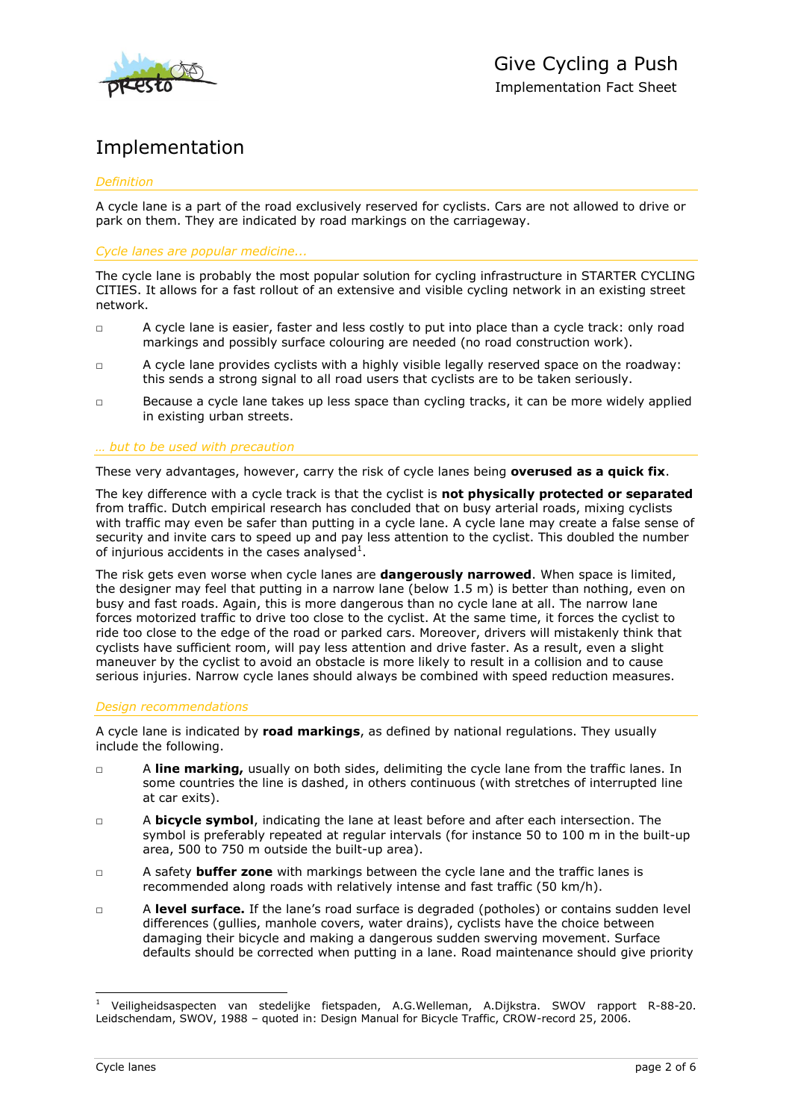

## Implementation

### *Definition*

A cycle lane is a part of the road exclusively reserved for cyclists. Cars are not allowed to drive or park on them. They are indicated by road markings on the carriageway.

*Cycle lanes are popular medicine...*

The cycle lane is probably the most popular solution for cycling infrastructure in STARTER CYCLING CITIES. It allows for a fast rollout of an extensive and visible cycling network in an existing street network.

- □ A cycle lane is easier, faster and less costly to put into place than a cycle track: only road markings and possibly surface colouring are needed (no road construction work).
- □ A cycle lane provides cyclists with a highly visible legally reserved space on the roadway: this sends a strong signal to all road users that cyclists are to be taken seriously.
- □ Because a cycle lane takes up less space than cycling tracks, it can be more widely applied in existing urban streets.

#### *… but to be used with precaution*

These very advantages, however, carry the risk of cycle lanes being **overused as a quick fix**.

The key difference with a cycle track is that the cyclist is **not physically protected or separated** from traffic. Dutch empirical research has concluded that on busy arterial roads, mixing cyclists with traffic may even be safer than putting in a cycle lane. A cycle lane may create a false sense of security and invite cars to speed up and pay less attention to the cyclist. This doubled the number of injurious accidents in the cases analysed<sup>1</sup>.

The risk gets even worse when cycle lanes are **dangerously narrowed**. When space is limited, the designer may feel that putting in a narrow lane (below 1.5 m) is better than nothing, even on busy and fast roads. Again, this is more dangerous than no cycle lane at all. The narrow lane forces motorized traffic to drive too close to the cyclist. At the same time, it forces the cyclist to ride too close to the edge of the road or parked cars. Moreover, drivers will mistakenly think that cyclists have sufficient room, will pay less attention and drive faster. As a result, even a slight maneuver by the cyclist to avoid an obstacle is more likely to result in a collision and to cause serious injuries. Narrow cycle lanes should always be combined with speed reduction measures.

#### *Design recommendations*

A cycle lane is indicated by **road markings**, as defined by national regulations. They usually include the following.

- □ A **line marking,** usually on both sides, delimiting the cycle lane from the traffic lanes. In some countries the line is dashed, in others continuous (with stretches of interrupted line at car exits).
- □ A **bicycle symbol**, indicating the lane at least before and after each intersection. The symbol is preferably repeated at regular intervals (for instance 50 to 100 m in the built-up area, 500 to 750 m outside the built-up area).
- □ A safety **buffer zone** with markings between the cycle lane and the traffic lanes is recommended along roads with relatively intense and fast traffic (50 km/h).
- □ A **level surface.** If the lane's road surface is degraded (potholes) or contains sudden level differences (gullies, manhole covers, water drains), cyclists have the choice between damaging their bicycle and making a dangerous sudden swerving movement. Surface defaults should be corrected when putting in a lane. Road maintenance should give priority

-

<sup>1</sup> Veiligheidsaspecten van stedelijke fietspaden, A.G.Welleman, A.Dijkstra. SWOV rapport R-88-20. Leidschendam, SWOV, 1988 – quoted in: Design Manual for Bicycle Traffic, CROW-record 25, 2006.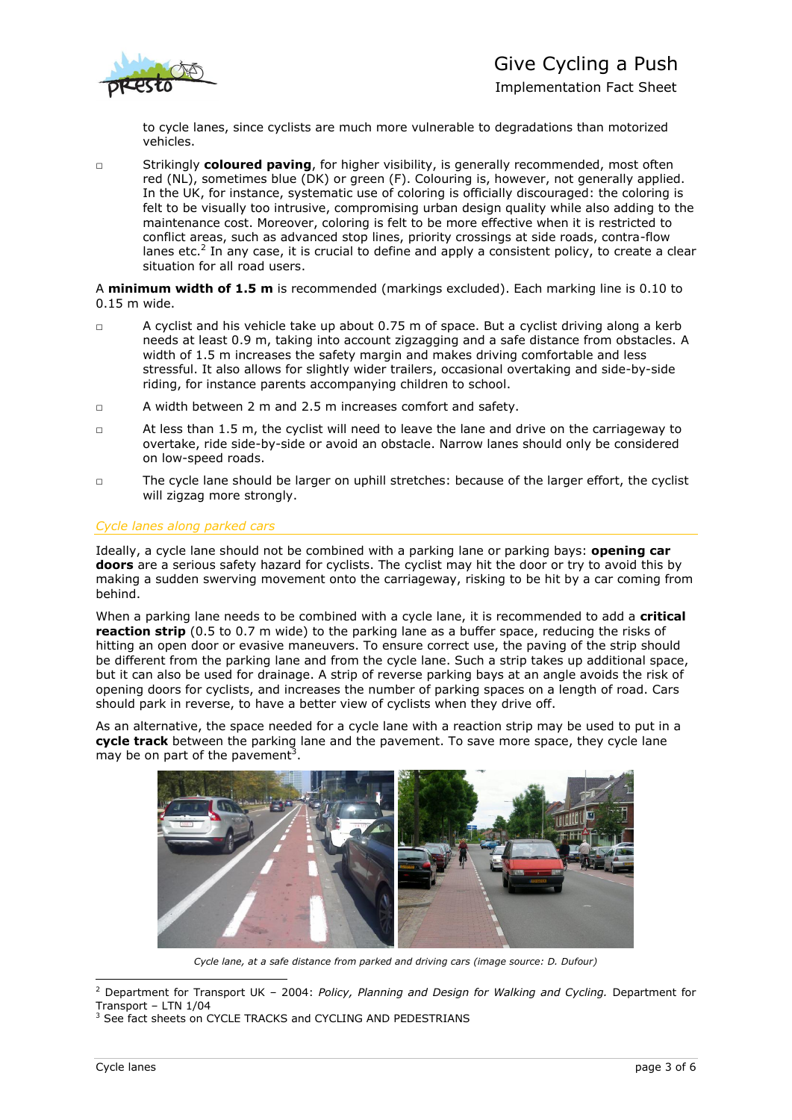

Implementation Fact Sheet

to cycle lanes, since cyclists are much more vulnerable to degradations than motorized vehicles.

□ Strikingly **coloured paving**, for higher visibility, is generally recommended, most often red (NL), sometimes blue (DK) or green (F). Colouring is, however, not generally applied. In the UK, for instance, systematic use of coloring is officially discouraged: the coloring is felt to be visually too intrusive, compromising urban design quality while also adding to the maintenance cost. Moreover, coloring is felt to be more effective when it is restricted to conflict areas, such as advanced stop lines, priority crossings at side roads, contra-flow lanes etc.<sup>2</sup> In any case, it is crucial to define and apply a consistent policy, to create a clear situation for all road users.

A **minimum width of 1.5 m** is recommended (markings excluded). Each marking line is 0.10 to 0.15 m wide.

- □ A cyclist and his vehicle take up about 0.75 m of space. But a cyclist driving along a kerb needs at least 0.9 m, taking into account zigzagging and a safe distance from obstacles. A width of 1.5 m increases the safety margin and makes driving comfortable and less stressful. It also allows for slightly wider trailers, occasional overtaking and side-by-side riding, for instance parents accompanying children to school.
- □ A width between 2 m and 2.5 m increases comfort and safety.
- □ At less than 1.5 m, the cyclist will need to leave the lane and drive on the carriageway to overtake, ride side-by-side or avoid an obstacle. Narrow lanes should only be considered on low-speed roads.
- □ The cycle lane should be larger on uphill stretches: because of the larger effort, the cyclist will zigzag more strongly.

### *Cycle lanes along parked cars*

Ideally, a cycle lane should not be combined with a parking lane or parking bays: **opening car doors** are a serious safety hazard for cyclists. The cyclist may hit the door or try to avoid this by making a sudden swerving movement onto the carriageway, risking to be hit by a car coming from behind.

When a parking lane needs to be combined with a cycle lane, it is recommended to add a **critical reaction strip** (0.5 to 0.7 m wide) to the parking lane as a buffer space, reducing the risks of hitting an open door or evasive maneuvers. To ensure correct use, the paving of the strip should be different from the parking lane and from the cycle lane. Such a strip takes up additional space, but it can also be used for drainage. A strip of reverse parking bays at an angle avoids the risk of opening doors for cyclists, and increases the number of parking spaces on a length of road. Cars should park in reverse, to have a better view of cyclists when they drive off.

As an alternative, the space needed for a cycle lane with a reaction strip may be used to put in a **cycle track** between the parking lane and the pavement. To save more space, they cycle lane may be on part of the pavement<sup>3</sup>.



*Cycle lane, at a safe distance from parked and driving cars (image source: D. Dufour)*

<sup>-</sup><sup>2</sup> Department for Transport UK – 2004: *Policy, Planning and Design for Walking and Cycling.* Department for Transport – LTN 1/04

<sup>&</sup>lt;sup>3</sup> See fact sheets on CYCLE TRACKS and CYCLING AND PEDESTRIANS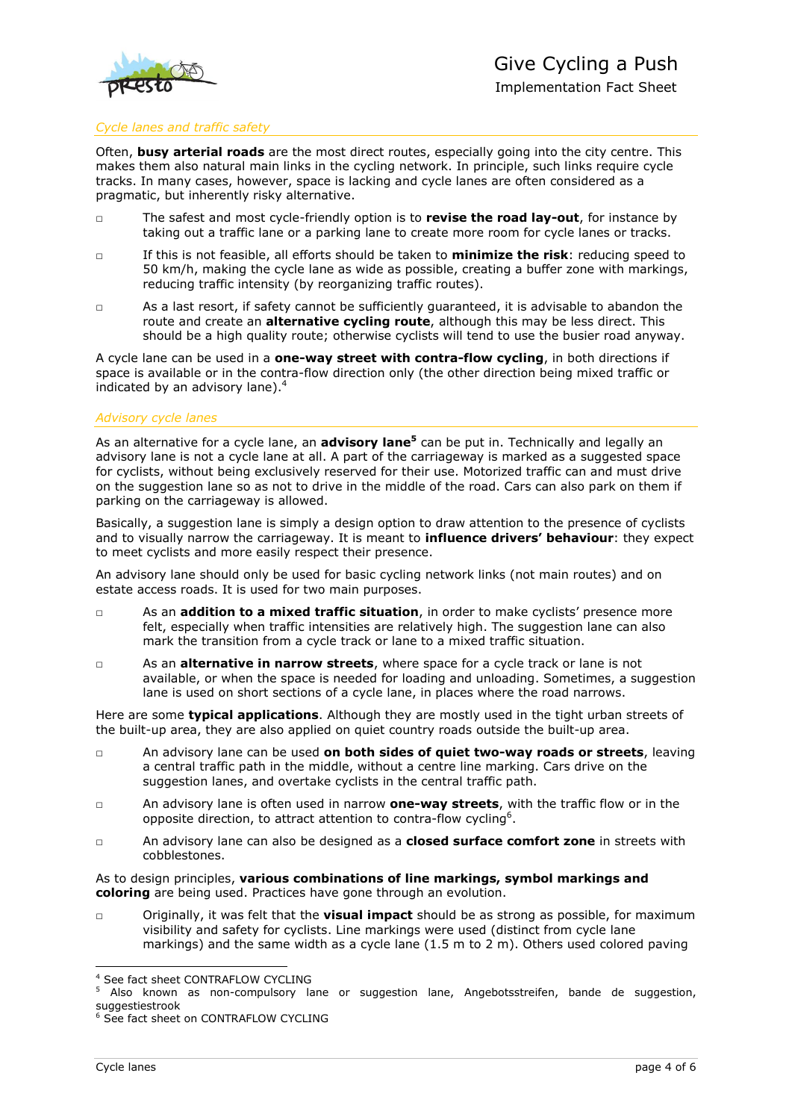

### *Cycle lanes and traffic safety*

Often, **busy arterial roads** are the most direct routes, especially going into the city centre. This makes them also natural main links in the cycling network. In principle, such links require cycle tracks. In many cases, however, space is lacking and cycle lanes are often considered as a pragmatic, but inherently risky alternative.

- □ The safest and most cycle-friendly option is to **revise the road lay-out**, for instance by taking out a traffic lane or a parking lane to create more room for cycle lanes or tracks.
- □ If this is not feasible, all efforts should be taken to **minimize the risk**: reducing speed to 50 km/h, making the cycle lane as wide as possible, creating a buffer zone with markings, reducing traffic intensity (by reorganizing traffic routes).
- □ As a last resort, if safety cannot be sufficiently guaranteed, it is advisable to abandon the route and create an **alternative cycling route**, although this may be less direct. This should be a high quality route; otherwise cyclists will tend to use the busier road anyway.

A cycle lane can be used in a **one-way street with contra-flow cycling**, in both directions if space is available or in the contra-flow direction only (the other direction being mixed traffic or indicated by an advisory lane).<sup>4</sup>

#### *Advisory cycle lanes*

As an alternative for a cycle lane, an **advisory lane<sup>5</sup>** can be put in. Technically and legally an advisory lane is not a cycle lane at all. A part of the carriageway is marked as a suggested space for cyclists, without being exclusively reserved for their use. Motorized traffic can and must drive on the suggestion lane so as not to drive in the middle of the road. Cars can also park on them if parking on the carriageway is allowed.

Basically, a suggestion lane is simply a design option to draw attention to the presence of cyclists and to visually narrow the carriageway. It is meant to **influence drivers' behaviour**: they expect to meet cyclists and more easily respect their presence.

An advisory lane should only be used for basic cycling network links (not main routes) and on estate access roads. It is used for two main purposes.

- □ As an **addition to a mixed traffic situation**, in order to make cyclists' presence more felt, especially when traffic intensities are relatively high. The suggestion lane can also mark the transition from a cycle track or lane to a mixed traffic situation.
- □ As an **alternative in narrow streets**, where space for a cycle track or lane is not available, or when the space is needed for loading and unloading. Sometimes, a suggestion lane is used on short sections of a cycle lane, in places where the road narrows.

Here are some **typical applications**. Although they are mostly used in the tight urban streets of the built-up area, they are also applied on quiet country roads outside the built-up area.

- □ An advisory lane can be used **on both sides of quiet two-way roads or streets**, leaving a central traffic path in the middle, without a centre line marking. Cars drive on the suggestion lanes, and overtake cyclists in the central traffic path.
- □ An advisory lane is often used in narrow **one-way streets**, with the traffic flow or in the opposite direction, to attract attention to contra-flow cycling<sup>6</sup>.
- □ An advisory lane can also be designed as a **closed surface comfort zone** in streets with cobblestones.

As to design principles, **various combinations of line markings, symbol markings and coloring** are being used. Practices have gone through an evolution.

□ Originally, it was felt that the **visual impact** should be as strong as possible, for maximum visibility and safety for cyclists. Line markings were used (distinct from cycle lane markings) and the same width as a cycle lane (1.5 m to 2 m). Others used colored paving

<sup>-</sup><sup>4</sup> See fact sheet CONTRAFLOW CYCLING

<sup>&</sup>lt;sup>5</sup> Also known as non-compulsory lane or suggestion lane, Angebotsstreifen, bande de suggestion, suggestiestrook

<sup>&</sup>lt;sup>6</sup> See fact sheet on CONTRAFLOW CYCLING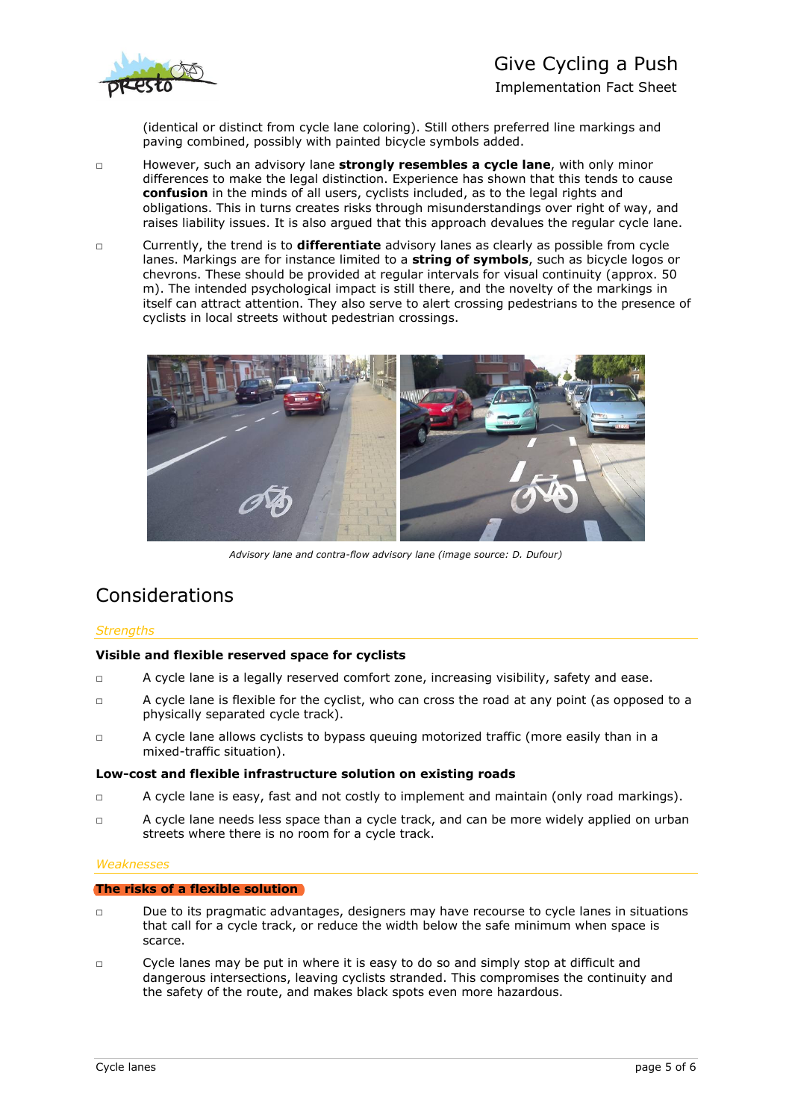

# Give Cycling a Push

Implementation Fact Sheet

(identical or distinct from cycle lane coloring). Still others preferred line markings and paving combined, possibly with painted bicycle symbols added.

- □ However, such an advisory lane **strongly resembles a cycle lane**, with only minor differences to make the legal distinction. Experience has shown that this tends to cause **confusion** in the minds of all users, cyclists included, as to the legal rights and obligations. This in turns creates risks through misunderstandings over right of way, and raises liability issues. It is also argued that this approach devalues the regular cycle lane.
- □ Currently, the trend is to **differentiate** advisory lanes as clearly as possible from cycle lanes. Markings are for instance limited to a **string of symbols**, such as bicycle logos or chevrons. These should be provided at regular intervals for visual continuity (approx. 50 m). The intended psychological impact is still there, and the novelty of the markings in itself can attract attention. They also serve to alert crossing pedestrians to the presence of cyclists in local streets without pedestrian crossings.



*Advisory lane and contra-flow advisory lane (image source: D. Dufour)*

### Considerations

### *Strengths*

### **Visible and flexible reserved space for cyclists**

- □ A cycle lane is a legally reserved comfort zone, increasing visibility, safety and ease.
- □ A cycle lane is flexible for the cyclist, who can cross the road at any point (as opposed to a physically separated cycle track).
- □ A cycle lane allows cyclists to bypass queuing motorized traffic (more easily than in a mixed-traffic situation).

#### **Low-cost and flexible infrastructure solution on existing roads**

- □ A cycle lane is easy, fast and not costly to implement and maintain (only road markings).
- □ A cycle lane needs less space than a cycle track, and can be more widely applied on urban streets where there is no room for a cycle track.

### *Weaknesses*

#### **The risks of a flexible solution**

- $\nabla$  Due to its pragmatic advantages, designers may have recourse to cycle lanes in situations that call for a cycle track, or reduce the width below the safe minimum when space is scarce.
- $\Box$  Cycle lanes may be put in where it is easy to do so and simply stop at difficult and dangerous intersections, leaving cyclists stranded. This compromises the continuity and the safety of the route, and makes black spots even more hazardous.